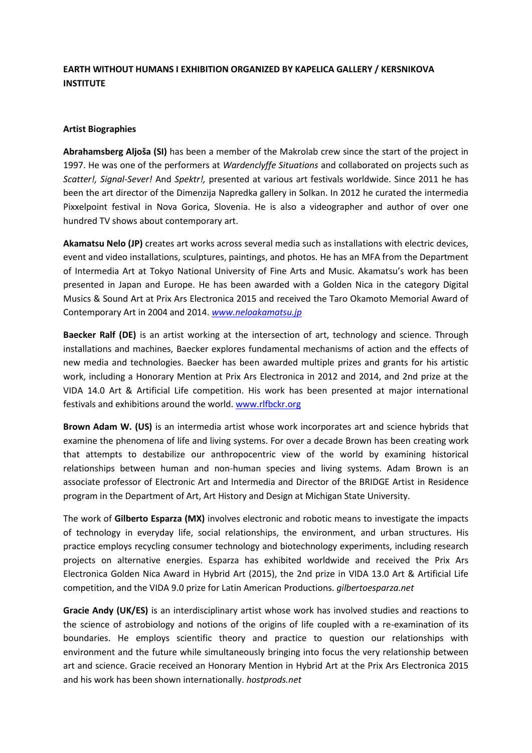## **EARTH WITHOUT HUMANS I EXHIBITION ORGANIZED BY KAPELICA GALLERY / KERSNIKOVA INSTITUTE**

## **Artist Biographies**

**Abrahamsberg Aljoša (SI)** has been a member of the Makrolab crew since the start of the project in 1997. He was one of the performers at *Wardenclyffe Situations* and collaborated on projects such as *Scatter!, Signal-Sever!* And *Spektr!,* presented at various art festivals worldwide. Since 2011 he has been the art director of the Dimenzija Napredka gallery in Solkan. In 2012 he curated the intermedia Pixxelpoint festival in Nova Gorica, Slovenia. He is also a videographer and author of over one hundred TV shows about contemporary art.

**Akamatsu Nelo (JP)** creates art works across several media such as installations with electric devices, event and video installations, sculptures, paintings, and photos. He has an MFA from the Department of Intermedia Art at Tokyo National University of Fine Arts and Music. Akamatsu's work has been presented in Japan and Europe. He has been awarded with a Golden Nica in the category Digital Musics & Sound Art at Prix Ars Electronica 2015 and received the Taro Okamoto Memorial Award of Contemporary Art in 2004 and 2014. *[www.neloakamatsu.jp](http://www.neloakamatsu.jp/)*

**Baecker Ralf (DE)** is an artist working at the intersection of art, technology and science. Through installations and machines, Baecker explores fundamental mechanisms of action and the effects of new media and technologies. Baecker has been awarded multiple prizes and grants for his artistic work, including a Honorary Mention at Prix Ars Electronica in 2012 and 2014, and 2nd prize at the VIDA 14.0 Art & Artificial Life competition. His work has been presented at major international festivals and exhibitions around the world[. www.rlfbckr.org](http://www.rlfbckr.org/)

**Brown Adam W. (US)** is an intermedia artist whose work incorporates art and science hybrids that examine the phenomena of life and living systems. For over a decade Brown has been creating work that attempts to destabilize our anthropocentric view of the world by examining historical relationships between human and non-human species and living systems. Adam Brown is an associate professor of Electronic Art and Intermedia and Director of the BRIDGE Artist in Residence program in the Department of Art, Art History and Design at Michigan State University.

The work of **Gilberto Esparza (MX)** involves electronic and robotic means to investigate the impacts of technology in everyday life, social relationships, the environment, and urban structures. His practice employs recycling consumer technology and biotechnology experiments, including research projects on alternative energies. Esparza has exhibited worldwide and received the Prix Ars Electronica Golden Nica Award in Hybrid Art (2015), the 2nd prize in VIDA 13.0 Art & Artificial Life competition, and the VIDA 9.0 prize for Latin American Productions. *gilbertoesparza.net*

**Gracie Andy (UK/ES)** is an interdisciplinary artist whose work has involved studies and reactions to the science of astrobiology and notions of the origins of life coupled with a re-examination of its boundaries. He employs scientific theory and practice to question our relationships with environment and the future while simultaneously bringing into focus the very relationship between art and science. Gracie received an Honorary Mention in Hybrid Art at the Prix Ars Electronica 2015 and his work has been shown internationally. *hostprods.net*